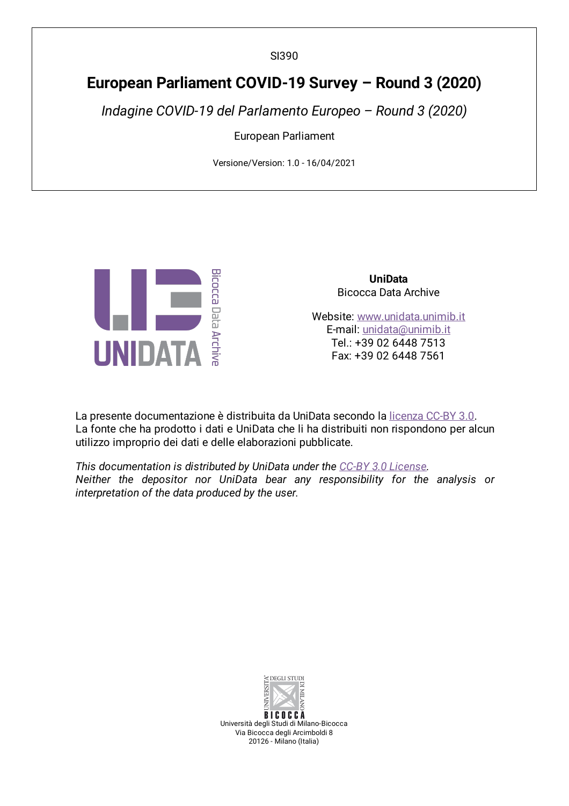SI390

# **European Parliament COVID-19 Survey – Round 3 (2020)**

*Indagine COVID-19 del Parlamento Europeo – Round 3 (2020)*

European Parliament

Versione/Version: 1.0 - 16/04/2021



**UniData** Bicocca Data Archive

Website: [www.unidata.unimib.it](http://www.unidata.unimib.it) E-mail: [unidata@unimib.it](mailto:unidata@unimib.it) Tel.: +39 02 6448 7513 Fax: +39 02 6448 7561

La presente documentazione è distribuita da UniData secondo la [licenza](https://creativecommons.org/licenses/by/3.0/deed.it) CC-BY 3.0. La fonte che ha prodotto i dati e UniData che li ha distribuiti non rispondono per alcun utilizzo improprio dei dati e delle elaborazioni pubblicate.

*This documentation is distributed by UniData under the CC-BY 3.0 [License](https://creativecommons.org/licenses/by/3.0/). Neither the depositor nor UniData bear any responsibility for the analysis or interpretation of the data produced by the user.*



**BICOCCA** Università degli Studi di Milano-Bicocca Via Bicocca degli Arcimboldi 8 20126 - Milano (Italia)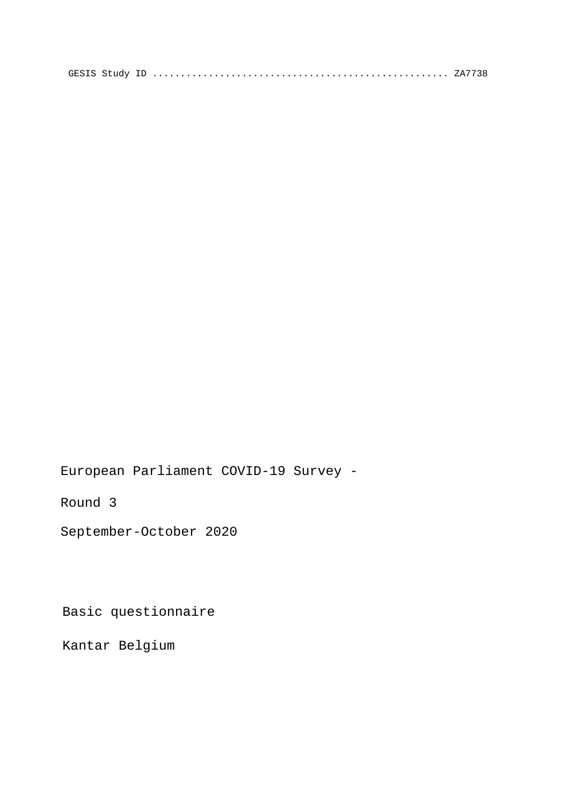European Parliament COVID-19 Survey -

Round 3

September-October 2020

Basic questionnaire

Kantar Belgium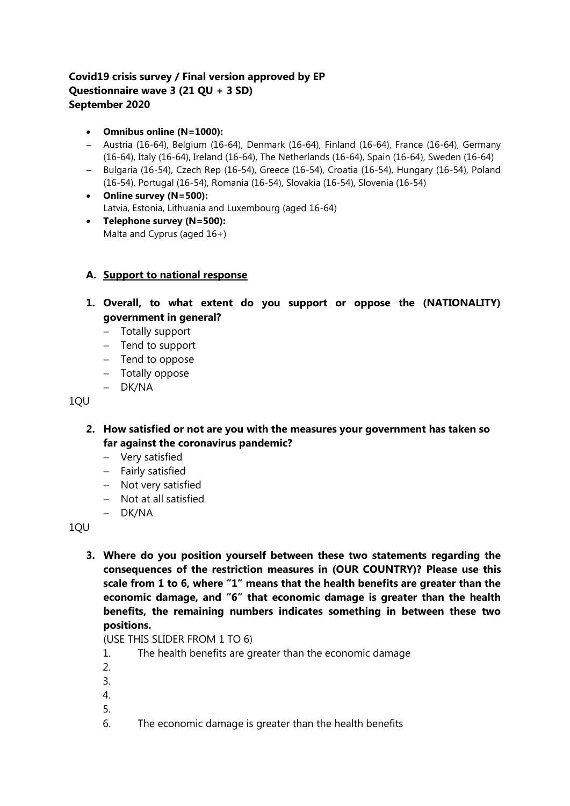# **Covid19 crisis survey / Final version approved by EP Questionnaire wave 3 (21 QU + 3 SD) September 2020**

- **Omnibus online (N=1000):**
- Austria (16-64), Belgium (16-64), Denmark (16-64), Finland (16-64), France (16-64), Germany (16-64), Italy (16-64), Ireland (16-64), The Netherlands (16-64), Spain (16-64), Sweden (16-64)
- Bulgaria (16-54), Czech Rep (16-54), Greece (16-54), Croatia (16-54), Hungary (16-54), Poland (16-54), Portugal (16-54), Romania (16-54), Slovakia (16-54), Slovenia (16-54)
- **Online survey (N=500):**  Latvia, Estonia, Lithuania and Luxembourg (aged 16-64)
- **Telephone survey (N=500):** Malta and Cyprus (aged 16+)

# **A. Support to national response**

- **1. Overall, to what extent do you support or oppose the (NATIONALITY) government in general?** 
	- Totally support
	- $-$  Tend to support
	- $-$  Tend to oppose
	- Totally oppose
	- DK/NA

1QU

- **2. How satisfied or not are you with the measures your government has taken so far against the coronavirus pandemic?** 
	- Very satisfied
	- Fairly satisfied
	- Not very satisfied
	- Not at all satisfied
	- DK/NA

1QU

**3. Where do you position yourself between these two statements regarding the consequences of the restriction measures in (OUR COUNTRY)? Please use this scale from 1 to 6, where "1" means that the health benefits are greater than the economic damage, and "6" that economic damage is greater than the health benefits, the remaining numbers indicates something in between these two positions.**

(USE THIS SLIDER FROM 1 TO 6)

- 1. The health benefits are greater than the economic damage
- 2.
- 3.
- 4.
- 5.
- 6. The economic damage is greater than the health benefits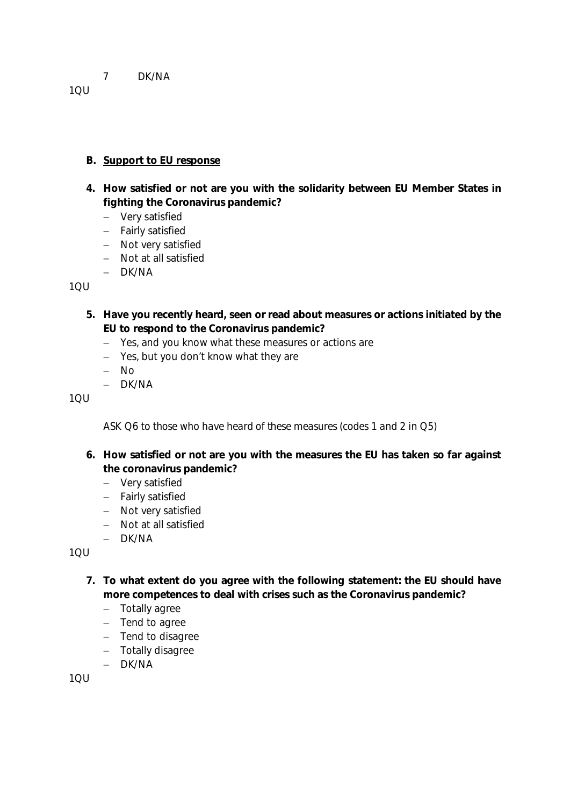### 7 DK/NA

1QU

### **B. Support to EU response**

- **4. How satisfied or not are you with the solidarity between EU Member States in fighting the Coronavirus pandemic?**
	- Very satisfied
	- Fairly satisfied
	- Not very satisfied
	- Not at all satisfied
	- $-$  DK/NA

 $1<sub>Q</sub>$ 

- **5. Have you recently heard, seen or read about measures or actions initiated by the EU to respond to the Coronavirus pandemic?**
	- Yes, and you know what these measures or actions are
	- Yes, but you don't know what they are
	- No
	- $-$  DK/NA

1QU

*ASK Q6 to those who have heard of these measures (codes 1 and 2 in Q5)*

- **6. How satisfied or not are you with the measures the EU has taken so far against the coronavirus pandemic?**
	- Very satisfied
	- Fairly satisfied
	- Not very satisfied
	- Not at all satisfied
	- DK/NA

 $1<sub>QU</sub>$ 

- **7. To what extent do you agree with the following statement: the EU should have more competences to deal with crises such as the Coronavirus pandemic?**
	- Totally agree
	- $-$  Tend to agree
	- Tend to disagree
	- Totally disagree
	- DK/NA

1QU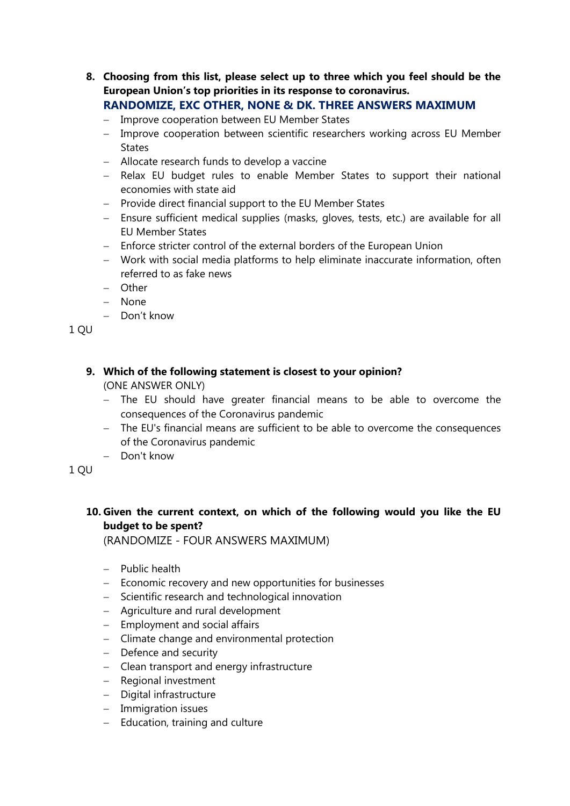- **8. Choosing from this list, please select up to three which you feel should be the European Union's top priorities in its response to coronavirus. RANDOMIZE, EXC OTHER, NONE & DK. THREE ANSWERS MAXIMUM**
	- Improve cooperation between EU Member States
	- Improve cooperation between scientific researchers working across EU Member **States**
	- Allocate research funds to develop a vaccine
	- Relax EU budget rules to enable Member States to support their national economies with state aid
	- Provide direct financial support to the EU Member States
	- Ensure sufficient medical supplies (masks, gloves, tests, etc.) are available for all EU Member States
	- Enforce stricter control of the external borders of the European Union
	- Work with social media platforms to help eliminate inaccurate information, often referred to as fake news
	- Other
	- None
	- Don't know

1 QU

# **9. Which of the following statement is closest to your opinion?**

(ONE ANSWER ONLY)

- The EU should have greater financial means to be able to overcome the consequences of the Coronavirus pandemic
- The EU's financial means are sufficient to be able to overcome the consequences of the Coronavirus pandemic
- Don't know

1 QU

# **10. Given the current context, on which of the following would you like the EU budget to be spent?**

(RANDOMIZE - FOUR ANSWERS MAXIMUM)

- $-$  Public health
- Economic recovery and new opportunities for businesses
- Scientific research and technological innovation
- Agriculture and rural development
- $-$  Employment and social affairs
- Climate change and environmental protection
- Defence and security
- Clean transport and energy infrastructure
- Regional investment
- Digital infrastructure
- Immigration issues
- $-$  Education, training and culture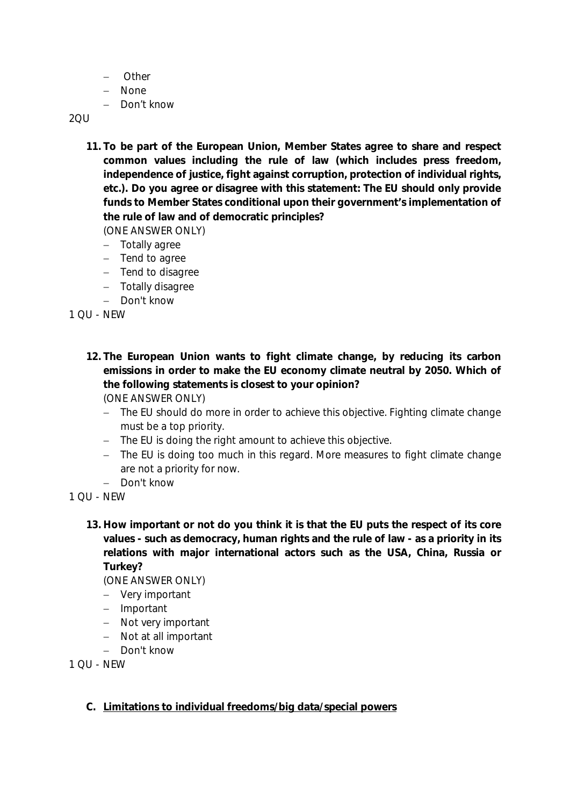- Other
- None
- Don't know

2QU

**11. To be part of the European Union, Member States agree to share and respect common values including the rule of law (which includes press freedom, independence of justice, fight against corruption, protection of individual rights, etc.). Do you agree or disagree with this statement: The EU should only provide funds to Member States conditional upon their government's implementation of the rule of law and of democratic principles?**

(ONE ANSWER ONLY)

- Totally agree
- $-$  Tend to agree
- $-$  Tend to disagree
- Totally disagree
- Don't know

1 QU - NEW

**12. The European Union wants to fight climate change, by reducing its carbon emissions in order to make the EU economy climate neutral by 2050. Which of the following statements is closest to your opinion?**

(ONE ANSWER ONLY)

- The EU should do more in order to achieve this objective. Fighting climate change must be a top priority.
- The EU is doing the right amount to achieve this objective.
- The EU is doing too much in this regard. More measures to fight climate change are not a priority for now.
- Don't know

1 QU - NEW

**13. How important or not do you think it is that the EU puts the respect of its core values - such as democracy, human rights and the rule of law - as a priority in its relations with major international actors such as the USA, China, Russia or Turkey?**

(ONE ANSWER ONLY)

- Very important
- Important
- Not very important
- Not at all important
- Don't know

1 QU - NEW

**C. Limitations to individual freedoms/big data/special powers**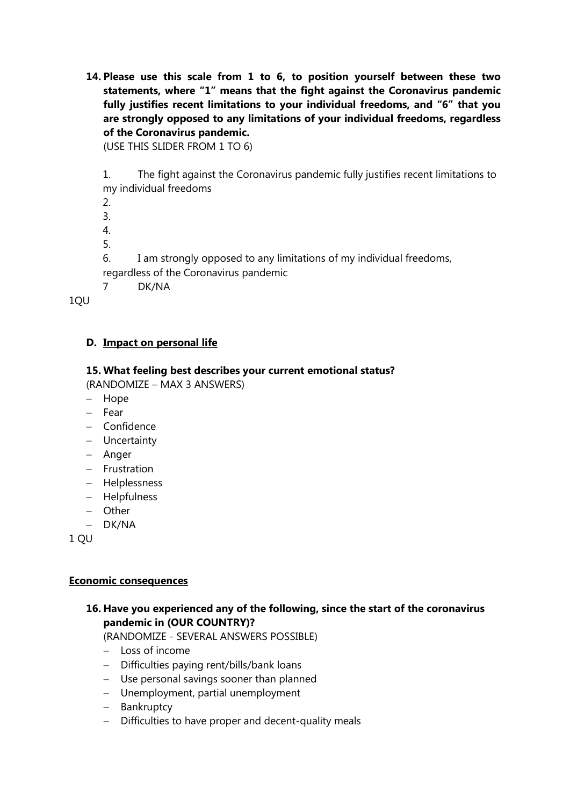**14. Please use this scale from 1 to 6, to position yourself between these two statements, where "1" means that the fight against the Coronavirus pandemic fully justifies recent limitations to your individual freedoms, and "6" that you are strongly opposed to any limitations of your individual freedoms, regardless of the Coronavirus pandemic.**

(USE THIS SLIDER FROM 1 TO 6)

1. The fight against the Coronavirus pandemic fully justifies recent limitations to my individual freedoms

2.

3.

4.

5.

6. I am strongly opposed to any limitations of my individual freedoms, regardless of the Coronavirus pandemic

7 DK/NA

1QU

# **D. Impact on personal life**

# **15. What feeling best describes your current emotional status?**

(RANDOMIZE – MAX 3 ANSWERS)

- Hope
- Fear
- Confidence
- Uncertainty
- Anger
- $-$  Frustration
- Helplessness
- Helpfulness
- Other
- DK/NA

1 QU

#### **Economic consequences**

# **16. Have you experienced any of the following, since the start of the coronavirus pandemic in (OUR COUNTRY)?**

(RANDOMIZE - SEVERAL ANSWERS POSSIBLE)

- Loss of income
- Difficulties paying rent/bills/bank loans
- Use personal savings sooner than planned
- Unemployment, partial unemployment
- Bankruptcy
- Difficulties to have proper and decent-quality meals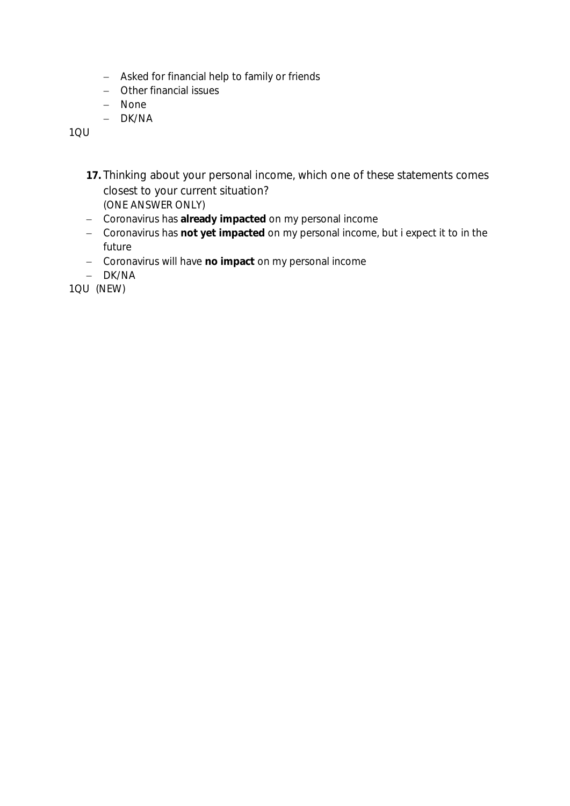- Asked for financial help to family or friends
- Other financial issues
- None
- DK/NA

1QU

- **17.** Thinking about your personal income, which one of these statements comes closest to your current situation? (ONE ANSWER ONLY)
- Coronavirus has **already impacted** on my personal income
- Coronavirus has **not yet impacted** on my personal income, but i expect it to in the future
- Coronavirus will have **no impact** on my personal income
- DK/NA

1QU (NEW)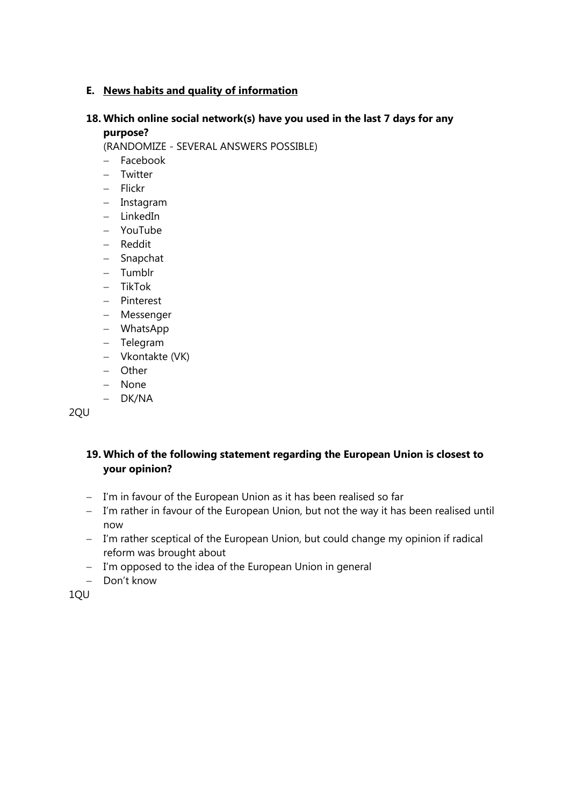# **E. News habits and quality of information**

#### **18. Which online social network(s) have you used in the last 7 days for any purpose?**

(RANDOMIZE - SEVERAL ANSWERS POSSIBLE)

- Facebook
- Twitter
- Flickr
- Instagram
- $-$  LinkedIn
- YouTube
- Reddit
- Snapchat
- Tumblr
- $-$  TikTok
- Pinterest
- Messenger
- WhatsApp
- Telegram
- Vkontakte (VK)
- Other
- None
- DK/NA

2QU

# **19. Which of the following statement regarding the European Union is closest to your opinion?**

- I'm in favour of the European Union as it has been realised so far
- I'm rather in favour of the European Union, but not the way it has been realised until now
- I'm rather sceptical of the European Union, but could change my opinion if radical reform was brought about
- I'm opposed to the idea of the European Union in general
- Don't know

1QU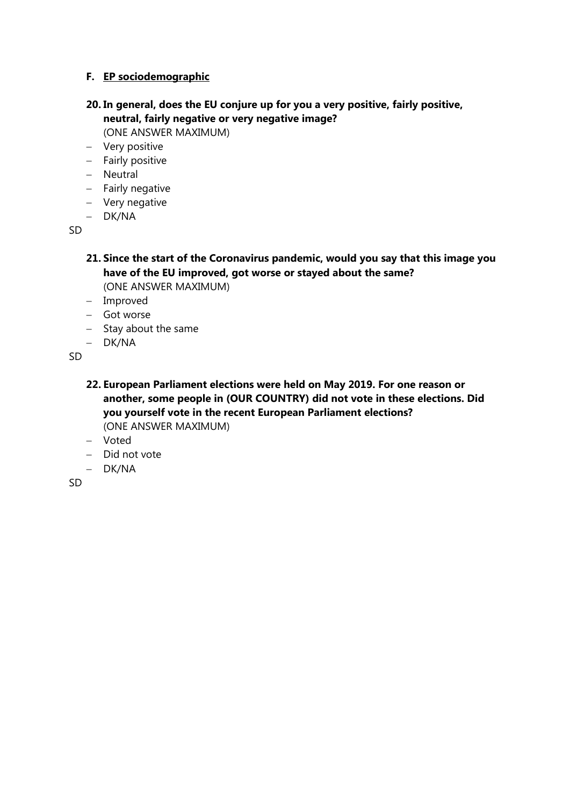#### **F. EP sociodemographic**

# **20. In general, does the EU conjure up for you a very positive, fairly positive, neutral, fairly negative or very negative image?**

(ONE ANSWER MAXIMUM)

- Very positive
- Fairly positive
- Neutral
- $-$  Fairly negative
- Very negative
- DK/NA

SD

#### **21. Since the start of the Coronavirus pandemic, would you say that this image you have of the EU improved, got worse or stayed about the same?**  (ONE ANSWER MAXIMUM)

- Improved
- Got worse
- $-$  Stay about the same
- DK/NA

SD

- **22. European Parliament elections were held on May 2019. For one reason or another, some people in (OUR COUNTRY) did not vote in these elections. Did you yourself vote in the recent European Parliament elections?** (ONE ANSWER MAXIMUM)
- Voted
- $-$  Did not vote
- DK/NA

SD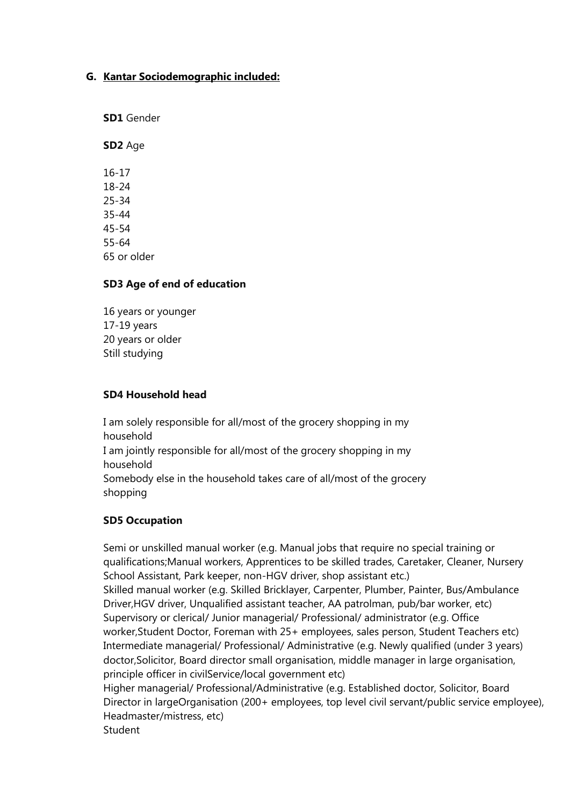#### **G. Kantar Sociodemographic included:**

**SD1** Gender

**SD2** Age

16-17 18-24 25-34 35-44 45-54 55-64 65 or older

#### **SD3 Age of end of education**

16 years or younger 17-19 years 20 years or older Still studying

#### **SD4 Household head**

I am solely responsible for all/most of the grocery shopping in my household I am jointly responsible for all/most of the grocery shopping in my household Somebody else in the household takes care of all/most of the grocery shopping

#### **SD5 Occupation**

Semi or unskilled manual worker (e.g. Manual jobs that require no special training or qualifications;Manual workers, Apprentices to be skilled trades, Caretaker, Cleaner, Nursery School Assistant, Park keeper, non-HGV driver, shop assistant etc.) Skilled manual worker (e.g. Skilled Bricklayer, Carpenter, Plumber, Painter, Bus/Ambulance Driver,HGV driver, Unqualified assistant teacher, AA patrolman, pub/bar worker, etc) Supervisory or clerical/ Junior managerial/ Professional/ administrator (e.g. Office worker,Student Doctor, Foreman with 25+ employees, sales person, Student Teachers etc) Intermediate managerial/ Professional/ Administrative (e.g. Newly qualified (under 3 years) doctor,Solicitor, Board director small organisation, middle manager in large organisation, principle officer in civilService/local government etc) Higher managerial/ Professional/Administrative (e.g. Established doctor, Solicitor, Board Director in largeOrganisation (200+ employees, top level civil servant/public service employee), Headmaster/mistress, etc) **Student**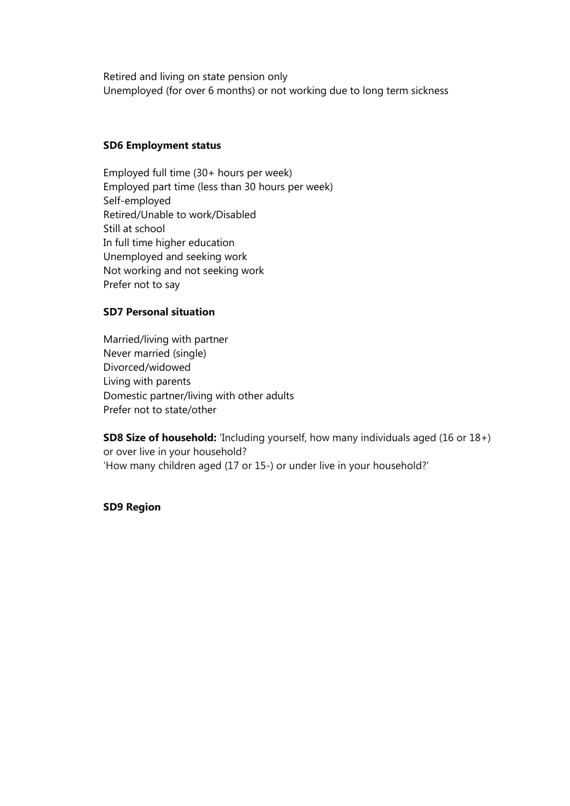Retired and living on state pension only Unemployed (for over 6 months) or not working due to long term sickness

#### **SD6 Employment status**

Employed full time (30+ hours per week) Employed part time (less than 30 hours per week) Self-employed Retired/Unable to work/Disabled Still at school In full time higher education Unemployed and seeking work Not working and not seeking work Prefer not to say

#### **SD7 Personal situation**

Married/living with partner Never married (single) Divorced/widowed Living with parents Domestic partner/living with other adults Prefer not to state/other

**SD8 Size of household:** 'Including yourself, how many individuals aged (16 or 18+) or over live in your household? 'How many children aged (17 or 15-) or under live in your household?'

#### **SD9 Region**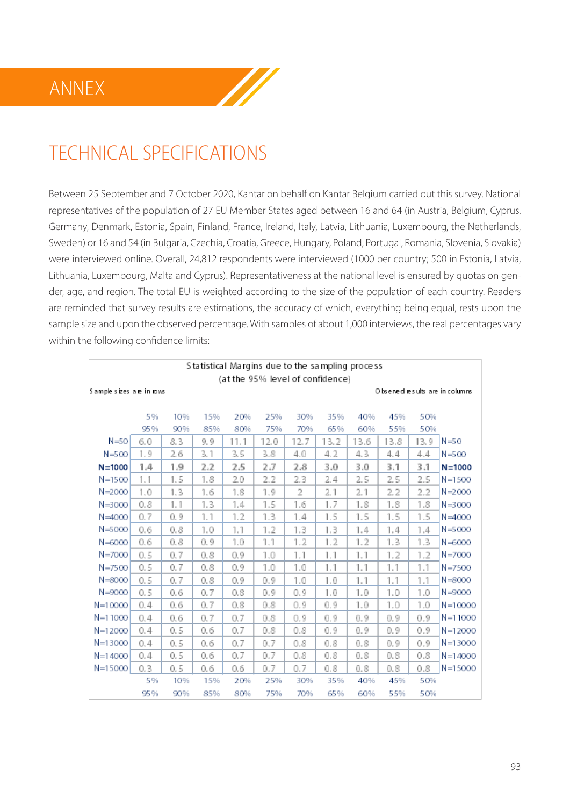

Between 25 September and 7 October 2020, Kantar on behalf on Kantar Belgium carried out this survey. National representatives of the population of 27 EU Member States aged between 16 and 64 (in Austria, Belgium, Cyprus, Germany, Denmark, Estonia, Spain, Finland, France, Ireland, Italy, Latvia, Lithuania, Luxembourg, the Netherlands, Sweden) or 16 and 54 (in Bulgaria, Czechia, Croatia, Greece, Hungary, Poland, Portugal, Romania, Slovenia, Slovakia) were interviewed online. Overall, 24,812 respondents were interviewed (1000 per country; 500 in Estonia, Latvia, Lithuania, Luxembourg, Malta and Cyprus). Representativeness at the national level is ensured by quotas on gender, age, and region. The total EU is weighted according to the size of the population of each country. Readers are reminded that survey results are estimations, the accuracy of which, everything being equal, rests upon the sample size and upon the observed percentage. With samples of about 1,000 interviews, the real percentages vary within the following confidence limits:

 $\mathbb{Z}$ 

| Statistical Margins due to the sampling process              |     |     |     |      |      |      |      |      |      |      |             |
|--------------------------------------------------------------|-----|-----|-----|------|------|------|------|------|------|------|-------------|
| (at the 95% level of confidence)                             |     |     |     |      |      |      |      |      |      |      |             |
| Sample sizes are in rows<br>O bserved results are in columns |     |     |     |      |      |      |      |      |      |      |             |
|                                                              |     |     |     |      |      |      |      |      |      |      |             |
|                                                              | 5%  | 10% | 15% | 20%  | 25%  | 30%  | 35%  | 40%  | 45%  | 50%  |             |
|                                                              | 95% | 90% | 85% | 80%  | 75%  | 70%  | 65%  | 60%  | 55%  | 50%  |             |
| $N = 50$                                                     | 6.0 | 8.3 | 9.9 | 11.1 | 12.0 | 12.7 | 13.2 | 13.6 | 13.8 | 13.9 | $N = 50$    |
| $N = 500$                                                    | 1.9 | 2.6 | 3.1 | 3.5  | 3.8  | 4.0  | 4.2  | 4.3  | 4.4  | 4.4  | $N = 500$   |
| $N = 1000$                                                   | 1.4 | 1.9 | 2.2 | 2.5  | 2.7  | 2.8  | 3.0  | 3.0  | 3.1  | 3.1  | $N = 1000$  |
| $N = 1500$                                                   | 1.1 | 1.5 | 1.8 | 2.0  | 2.2  | 2.3  | 2.4  | 2.5  | 2.5  | 2.5  | $N = 1500$  |
| $N = 2000$                                                   | 1.0 | 1.3 | 1.6 | 1.8  | 1.9  | 2    | 2.1  | 2.1  | 2.2  | 2.2  | $N = 2000$  |
| $N = 3000$                                                   | 0.8 | 1.1 | 1.3 | 1.4  | 1.5  | 1.6  | 1.7  | 1.8  | 1.8  | 1.8  | $N = 3000$  |
| $N = 4000$                                                   | 0.7 | 0.9 | 1.1 | 1.2  | 1.3  | 1.4  | 1.5  | 1.5  | 1.5  | 1.5  | $N = 4000$  |
| N=5000                                                       | 0.6 | 0.8 | 1.0 | 1.1  | 1.2  | 1.3  | 1.3  | 1.4  | 1.4  | 1.4  | $N = 5000$  |
| $N = 6000$                                                   | 0.6 | 0.8 | 0.9 | 1.0  | 1.1  | 1.2  | 1.2  | 1.2  | 1.3  | 1.3  | $N = 6000$  |
| $N = 7000$                                                   | 0.5 | 0.7 | 0.8 | 0.9  | 1.0  | 1.1  | 1.1  | 1.1  | 1.2  | 1.2  | $N = 7000$  |
| $N = 7500$                                                   | 0.5 | 0.7 | 0.8 | 0.9  | 1.0  | 1.0  | 1.1  | 1.1  | 1.1  | 1.1  | $N = 7500$  |
| $N = 8000$                                                   | 0.5 | 0.7 | 0.8 | 0.9  | 0.9  | 1.0  | 1.0  | 1.1  | 1.1  | 1.1  | $N = 8000$  |
| $N = 9000$                                                   | 0.5 | 0.6 | 0.7 | 0.8  | 0.9  | 0.9  | 1.0  | 1.0  | 1.0  | 1.0  | N=9000      |
| $N = 10000$                                                  | 0.4 | 0.6 | 0.7 | 0.8  | 0.8  | 0.9  | 0.9  | 1.0  | 1.0  | 1.0  | $N = 10000$ |
| $N = 11000$                                                  | 0.4 | 0.6 | 0.7 | 0.7  | 0.8  | 0.9  | 0.9  | 0.9  | 0.9  | 0.9  | N=11000     |
| $N = 12000$                                                  | 0.4 | 0.5 | 0.6 | 0.7  | 0.8  | 0.8  | 0.9  | 0.9  | 0.9  | 0.9  | $N = 12000$ |
| $N = 13000$                                                  | 0.4 | 0.5 | 0.6 | 0.7  | 0.7  | 0.8  | 0.8  | 0.8  | 0.9  | 0.9  | $N = 13000$ |
| $N=14000$                                                    | 0.4 | 0.5 | 0.6 | 0.7  | 0.7  | 0.8  | 0.8  | 0.8  | 0.8  | 0.8  | $N=14000$   |
| N=15000                                                      | 0.3 | 0.5 | 0.6 | 0.6  | 0.7  | 0.7  | 0.8  | 0.8  | 0.8  | 0.8  | N=15000     |
|                                                              | 5%  | 10% | 15% | 20%  | 25%  | 30%  | 35%  | 40%  | 45%  | 50%  |             |
|                                                              | 95% | 90% | 85% | 80%  | 75%  | 70%  | 65%  | 60%  | 55%  | 50%  |             |